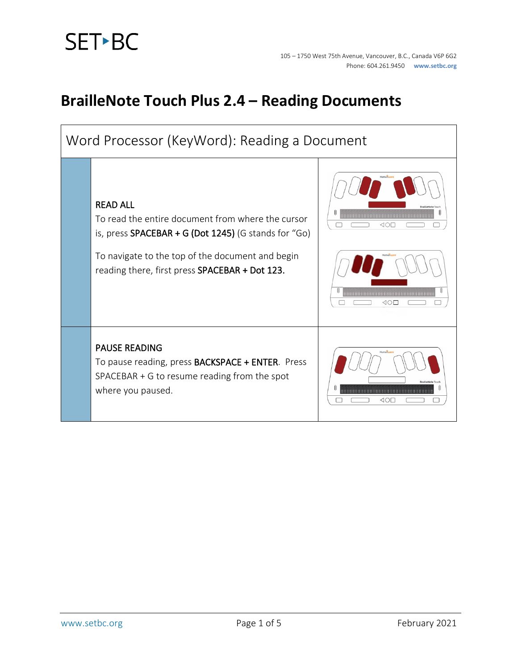# **SET-BC**

#### **BrailleNote Touch Plus 2.4 – Reading Documents**

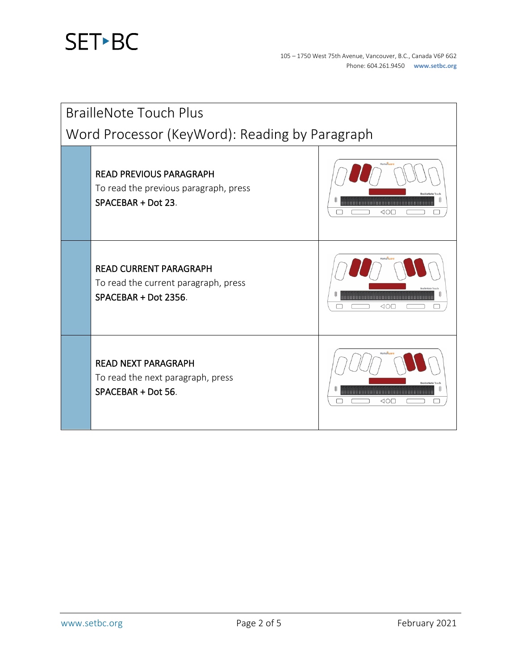

| <b>BrailleNote Touch Plus</b>                  |                                                                                               |            |  |  |
|------------------------------------------------|-----------------------------------------------------------------------------------------------|------------|--|--|
| Word Processor (KeyWord): Reading by Paragraph |                                                                                               |            |  |  |
|                                                | <b>READ PREVIOUS PARAGRAPH</b><br>To read the previous paragraph, press<br>SPACEBAR + Dot 23. | 40E        |  |  |
|                                                | <b>READ CURRENT PARAGRAPH</b><br>To read the current paragraph, press<br>SPACEBAR + Dot 2356. | <b>KOL</b> |  |  |
|                                                | <b>READ NEXT PARAGRAPH</b><br>To read the next paragraph, press<br>SPACEBAR + Dot 56.         | ⊲o⊡        |  |  |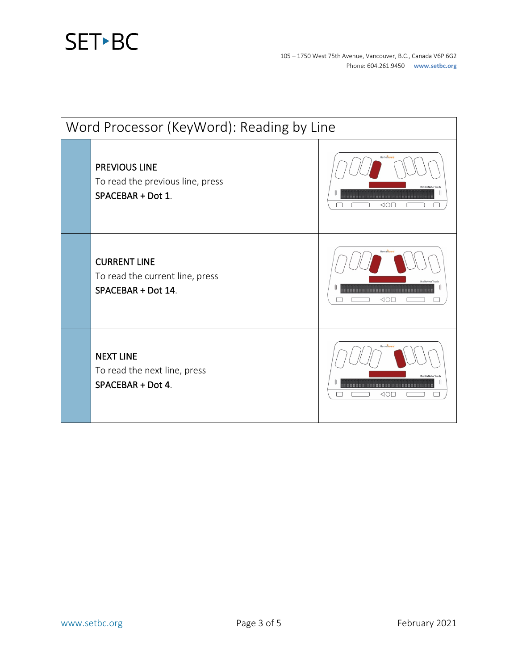## SET<sup>></sup>BC

| Word Processor (KeyWord): Reading by Line |                                                                               |                                                              |  |  |
|-------------------------------------------|-------------------------------------------------------------------------------|--------------------------------------------------------------|--|--|
|                                           | <b>PREVIOUS LINE</b><br>To read the previous line, press<br>SPACEBAR + Dot 1. | Humanwa<br>40E                                               |  |  |
|                                           | <b>CURRENT LINE</b><br>To read the current line, press<br>SPACEBAR + Dot 14.  | <b>RrailleNote</b><br>8888888888888888888888888888888<br>40E |  |  |
|                                           | <b>NEXT LINE</b><br>To read the next line, press<br>SPACEBAR + Dot 4.         | Human<br>$\triangle$ O $\square$                             |  |  |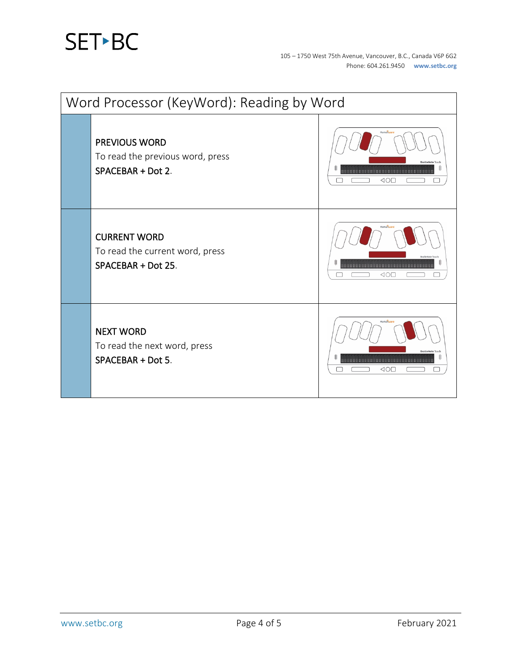# SET-BC

| Word Processor (KeyWord): Reading by Word |                                                                               |                                                                   |  |  |
|-------------------------------------------|-------------------------------------------------------------------------------|-------------------------------------------------------------------|--|--|
|                                           | <b>PREVIOUS WORD</b><br>To read the previous word, press<br>SPACEBAR + Dot 2. | --------------------------------------<br>$\triangle$ O $\square$ |  |  |
|                                           | <b>CURRENT WORD</b><br>To read the current word, press<br>SPACEBAR + Dot 25.  | $\triangleleft$ O $\square$                                       |  |  |
|                                           | <b>NEXT WORD</b><br>To read the next word, press<br>SPACEBAR + Dot 5.         | ⊲o⊏                                                               |  |  |